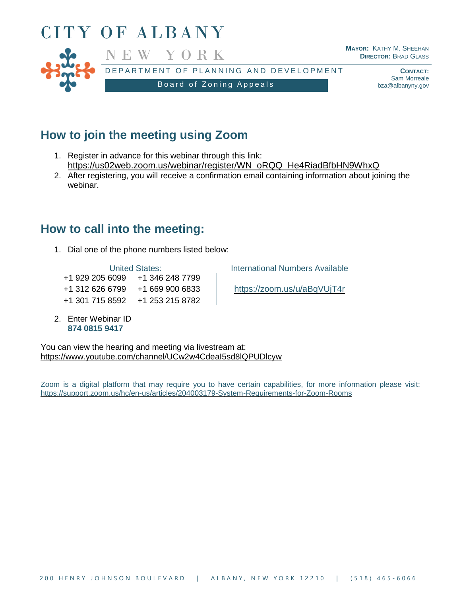

## **How to join the meeting using Zoom**

- 1. Register in advance for this webinar through this link: [https://us02web.zoom.us/webinar/register/WN\\_oRQQ\\_He4RiadBfbHN9WhxQ](https://us02web.zoom.us/webinar/register/WN_oRQQ_He4RiadBfbHN9WhxQ)
- 2. After registering, you will receive a confirmation email containing information about joining the webinar.

## **How to call into the meeting:**

1. Dial one of the phone numbers listed below:

+1 929 205 6099 +1 346 248 7799 +1 312 626 6799 +1 669 900 6833 <https://zoom.us/u/aBqVUjT4r> +1 301 715 8592 +1 253 215 8782

2. Enter Webinar ID **874 0815 9417**

United States: **International Numbers Available** 

You can view the hearing and meeting via livestream at: <https://www.youtube.com/channel/UCw2w4CdeaI5sd8lQPUDlcyw>

Zoom is a digital platform that may require you to have certain capabilities, for more information please visit: <https://support.zoom.us/hc/en-us/articles/204003179-System-Requirements-for-Zoom-Rooms>